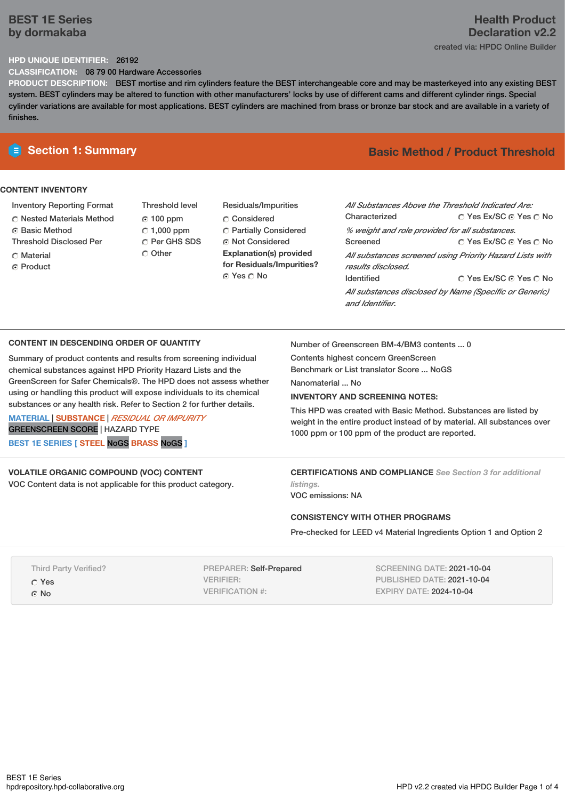### **BEST 1E Series by dormakaba**

# **Health Product Declaration v2.2**

created via: HPDC Online Builder

### **HPD UNIQUE IDENTIFIER:** 26192

**CLASSIFICATION:** 08 79 00 Hardware Accessories

**PRODUCT DESCRIPTION:** BEST mortise and rim cylinders feature the BEST interchangeable core and may be masterkeyed into any existing BEST system. BEST cylinders may be altered to function with other manufacturers' locks by use of different cams and different cylinder rings. Special cylinder variations are available for most applications. BEST cylinders are machined from brass or bronze bar stock and are available in a variety of finishes.

### **CONTENT INVENTORY**

- Inventory Reporting Format
- Nested Materials Method
- **C** Basic Method
- Threshold Disclosed Per
- Material
- ⊙ Product
- Threshold level 100 ppm  $C$  1,000 ppm C Per GHS SDS C Other
- Residuals/Impurities Considered Partially Considered Not Considered **Explanation(s) provided for Residuals/Impurities?** © Yes ∩ No

## **E** Section 1: Summary **Basic Method / Product Threshold**

| All Substances Above the Threshold Indicated Are:<br>Characterized             | ∩ Yes Ex/SC ∩ Yes ∩ No |  |  |  |  |  |
|--------------------------------------------------------------------------------|------------------------|--|--|--|--|--|
| % weight and role provided for all substances.                                 |                        |  |  |  |  |  |
| Screened                                                                       | ∩ Yes Ex/SC ⊙ Yes ∩ No |  |  |  |  |  |
| All substances screened using Priority Hazard Lists with<br>results disclosed. |                        |  |  |  |  |  |
| <b>Identified</b>                                                              | ∩ Yes Ex/SC ∩ Yes ∩ No |  |  |  |  |  |
| All substances disclosed by Name (Specific or Generic)<br>and Identifier.      |                        |  |  |  |  |  |

### **CONTENT IN DESCENDING ORDER OF QUANTITY**

Summary of product contents and results from screening individual chemical substances against HPD Priority Hazard Lists and the GreenScreen for Safer Chemicals®. The HPD does not assess whether using or handling this product will expose individuals to its chemical substances or any health risk. Refer to Section 2 for further details.

**MATERIAL** | **SUBSTANCE** | *RESIDUAL OR IMPURITY* GREENSCREEN SCORE | HAZARD TYPE **BEST 1E SERIES [ STEEL** NoGS **BRASS** NoGS **]**

### **VOLATILE ORGANIC COMPOUND (VOC) CONTENT**

VOC Content data is not applicable for this product category.

Number of Greenscreen BM-4/BM3 contents ... 0

Contents highest concern GreenScreen Benchmark or List translator Score ... NoGS

Nanomaterial ... No

### **INVENTORY AND SCREENING NOTES:**

This HPD was created with Basic Method. Substances are listed by weight in the entire product instead of by material. All substances over 1000 ppm or 100 ppm of the product are reported.

**CERTIFICATIONS AND COMPLIANCE** *See Section 3 for additional listings.*

VOC emissions: NA

### **CONSISTENCY WITH OTHER PROGRAMS**

Pre-checked for LEED v4 Material Ingredients Option 1 and Option 2

Third Party Verified? Yes G No

PREPARER: Self-Prepared VERIFIER: VERIFICATION #:

SCREENING DATE: 2021-10-04 PUBLISHED DATE: 2021-10-04 EXPIRY DATE: 2024-10-04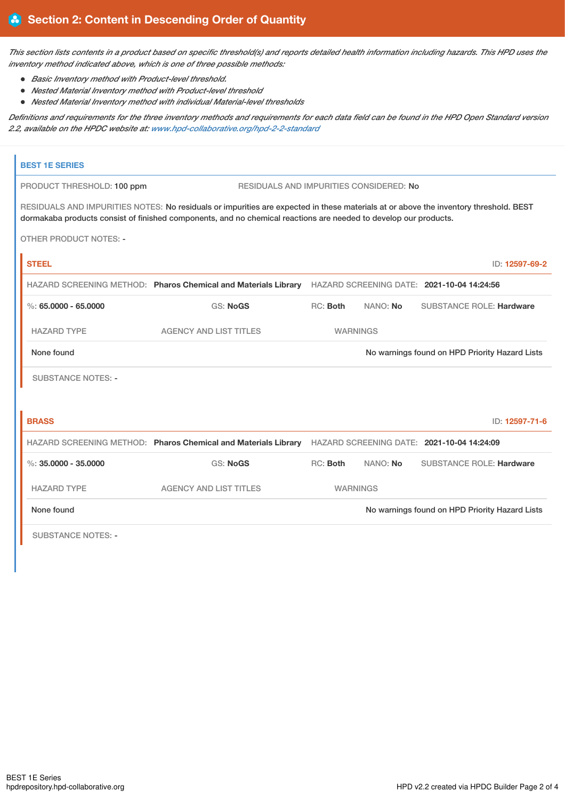This section lists contents in a product based on specific threshold(s) and reports detailed health information including hazards. This HPD uses the *inventory method indicated above, which is one of three possible methods:*

- *Basic Inventory method with Product-level threshold.*
- *Nested Material Inventory method with Product-level threshold*
- *Nested Material Inventory method with individual Material-level thresholds*

Definitions and requirements for the three inventory methods and requirements for each data field can be found in the HPD Open Standard version *2.2, available on the HPDC website at: [www.hpd-collaborative.org/hpd-2-2-standard](https://www.hpd-collaborative.org/hpd-2-2-standard)*

| <b>BEST 1E SERIES</b>                                                                                                                                                                                                                                    |                                                                                                           |                                                |          |                                                |  |  |  |
|----------------------------------------------------------------------------------------------------------------------------------------------------------------------------------------------------------------------------------------------------------|-----------------------------------------------------------------------------------------------------------|------------------------------------------------|----------|------------------------------------------------|--|--|--|
| PRODUCT THRESHOLD: 100 ppm                                                                                                                                                                                                                               | RESIDUALS AND IMPURITIES CONSIDERED: No                                                                   |                                                |          |                                                |  |  |  |
| RESIDUALS AND IMPURITIES NOTES: No residuals or impurities are expected in these materials at or above the inventory threshold. BEST<br>dormakaba products consist of finished components, and no chemical reactions are needed to develop our products. |                                                                                                           |                                                |          |                                                |  |  |  |
| <b>OTHER PRODUCT NOTES: -</b>                                                                                                                                                                                                                            |                                                                                                           |                                                |          |                                                |  |  |  |
| <b>STEEL</b>                                                                                                                                                                                                                                             |                                                                                                           |                                                |          | ID: 12597-69-2                                 |  |  |  |
|                                                                                                                                                                                                                                                          | HAZARD SCREENING METHOD: Pharos Chemical and Materials Library HAZARD SCREENING DATE: 2021-10-04 14:24:56 |                                                |          |                                                |  |  |  |
| $\%$ : 65.0000 - 65.0000                                                                                                                                                                                                                                 | <b>GS: NoGS</b>                                                                                           | RC: Both                                       | NANO: No | <b>SUBSTANCE ROLE: Hardware</b>                |  |  |  |
| <b>HAZARD TYPE</b>                                                                                                                                                                                                                                       | <b>AGENCY AND LIST TITLES</b>                                                                             | <b>WARNINGS</b>                                |          |                                                |  |  |  |
| None found                                                                                                                                                                                                                                               |                                                                                                           |                                                |          | No warnings found on HPD Priority Hazard Lists |  |  |  |
| <b>SUBSTANCE NOTES: -</b>                                                                                                                                                                                                                                |                                                                                                           |                                                |          |                                                |  |  |  |
| <b>BRASS</b>                                                                                                                                                                                                                                             |                                                                                                           |                                                |          | ID: 12597-71-6                                 |  |  |  |
|                                                                                                                                                                                                                                                          | HAZARD SCREENING METHOD: Pharos Chemical and Materials Library HAZARD SCREENING DATE: 2021-10-04 14:24:09 |                                                |          |                                                |  |  |  |
| $\%$ : 35.0000 - 35.0000                                                                                                                                                                                                                                 | <b>GS: NoGS</b>                                                                                           | RC: Both                                       | NANO: No | <b>SUBSTANCE ROLE: Hardware</b>                |  |  |  |
| <b>HAZARD TYPE</b>                                                                                                                                                                                                                                       | <b>AGENCY AND LIST TITLES</b>                                                                             | <b>WARNINGS</b>                                |          |                                                |  |  |  |
| None found                                                                                                                                                                                                                                               |                                                                                                           | No warnings found on HPD Priority Hazard Lists |          |                                                |  |  |  |
| <b>SUBSTANCE NOTES: -</b>                                                                                                                                                                                                                                |                                                                                                           |                                                |          |                                                |  |  |  |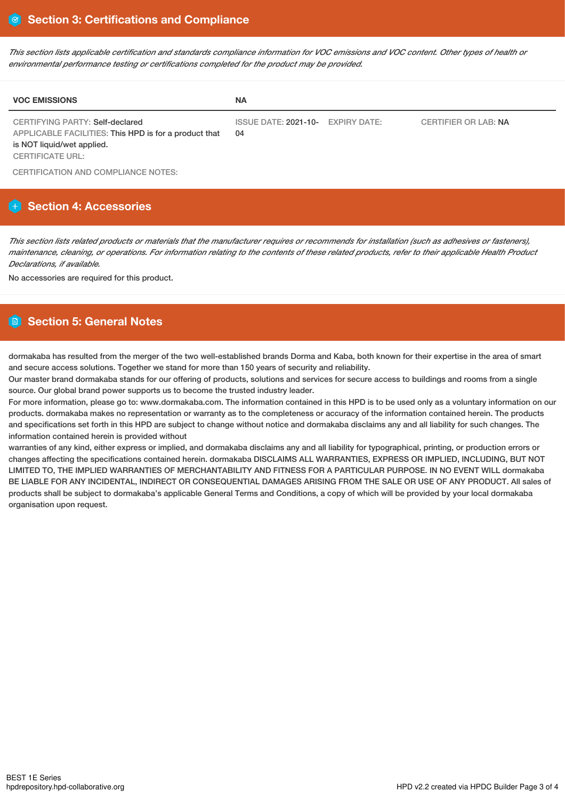This section lists applicable certification and standards compliance information for VOC emissions and VOC content. Other types of health or *environmental performance testing or certifications completed for the product may be provided.*

| <b>VOC EMISSIONS</b>                                                                                                                                     | <b>NA</b>                               |                      |
|----------------------------------------------------------------------------------------------------------------------------------------------------------|-----------------------------------------|----------------------|
| <b>CERTIFYING PARTY: Self-declared</b><br>APPLICABLE FACILITIES: This HPD is for a product that<br>is NOT liquid/wet applied.<br><b>CERTIFICATE URL:</b> | ISSUE DATE: 2021-10- EXPIRY DATE:<br>04 | CERTIFIER OR LAB: NA |

CERTIFICATION AND COMPLIANCE NOTES:

### **Section 4: Accessories**

This section lists related products or materials that the manufacturer requires or recommends for installation (such as adhesives or fasteners), maintenance, cleaning, or operations. For information relating to the contents of these related products, refer to their applicable Health Product *Declarations, if available.*

No accessories are required for this product.

## **Section 5: General Notes**

dormakaba has resulted from the merger of the two well-established brands Dorma and Kaba, both known for their expertise in the area of smart and secure access solutions. Together we stand for more than 150 years of security and reliability.

Our master brand dormakaba stands for our offering of products, solutions and services for secure access to buildings and rooms from a single source. Our global brand power supports us to become the trusted industry leader.

For more information, please go to: www.dormakaba.com. The information contained in this HPD is to be used only as a voluntary information on our products. dormakaba makes no representation or warranty as to the completeness or accuracy of the information contained herein. The products and specifications set forth in this HPD are subject to change without notice and dormakaba disclaims any and all liability for such changes. The information contained herein is provided without

warranties of any kind, either express or implied, and dormakaba disclaims any and all liability for typographical, printing, or production errors or changes affecting the specifications contained herein. dormakaba DISCLAIMS ALL WARRANTIES, EXPRESS OR IMPLIED, INCLUDING, BUT NOT LIMITED TO, THE IMPLIED WARRANTIES OF MERCHANTABILITY AND FITNESS FOR A PARTICULAR PURPOSE. IN NO EVENT WILL dormakaba BE LIABLE FOR ANY INCIDENTAL, INDIRECT OR CONSEQUENTIAL DAMAGES ARISING FROM THE SALE OR USE OF ANY PRODUCT. All sales of products shall be subject to dormakaba's applicable General Terms and Conditions, a copy of which will be provided by your local dormakaba organisation upon request.